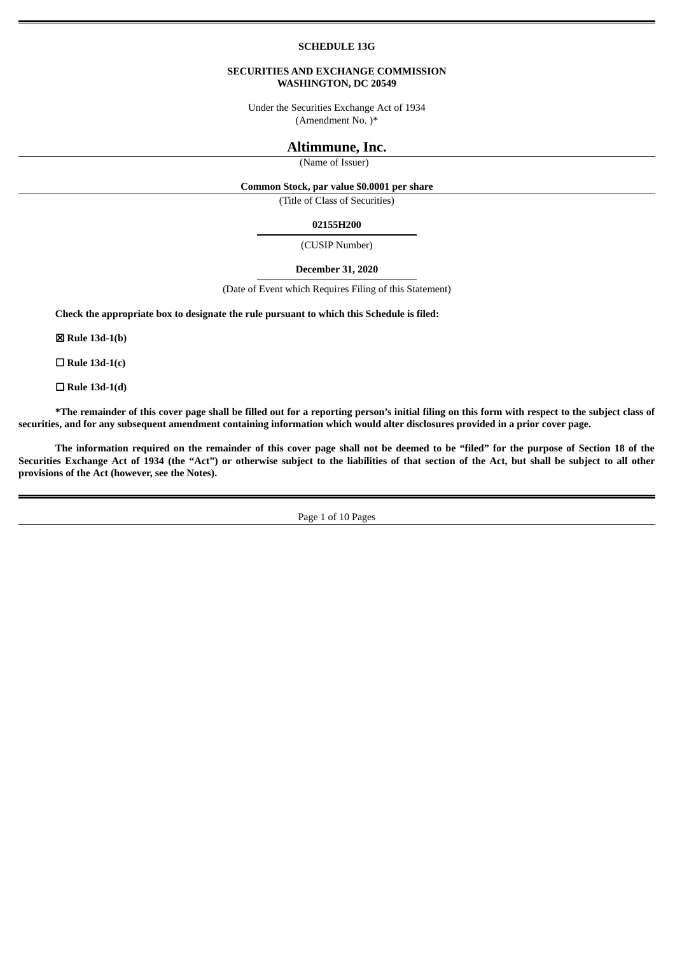#### **SCHEDULE 13G**

### **SECURITIES AND EXCHANGE COMMISSION WASHINGTON, DC 20549**

Under the Securities Exchange Act of 1934 (Amendment No. )\*

# **Altimmune, Inc.**

(Name of Issuer)

#### **Common Stock, par value \$0.0001 per share**

(Title of Class of Securities)

#### **02155H200**

(CUSIP Number)

#### **December 31, 2020**

(Date of Event which Requires Filing of this Statement)

**Check the appropriate box to designate the rule pursuant to which this Schedule is filed:**

☒ **Rule 13d-1(b)**

☐ **Rule 13d-1(c)**

☐ **Rule 13d-1(d)**

\*The remainder of this cover page shall be filled out for a reporting person's initial filing on this form with respect to the subject class of securities, and for any subsequent amendment containing information which would alter disclosures provided in a prior cover page.

The information required on the remainder of this cover page shall not be deemed to be "filed" for the purpose of Section 18 of the Securities Exchange Act of 1934 (the "Act") or otherwise subject to the liabilities of that section of the Act, but shall be subject to all other **provisions of the Act (however, see the Notes).**

Page 1 of 10 Pages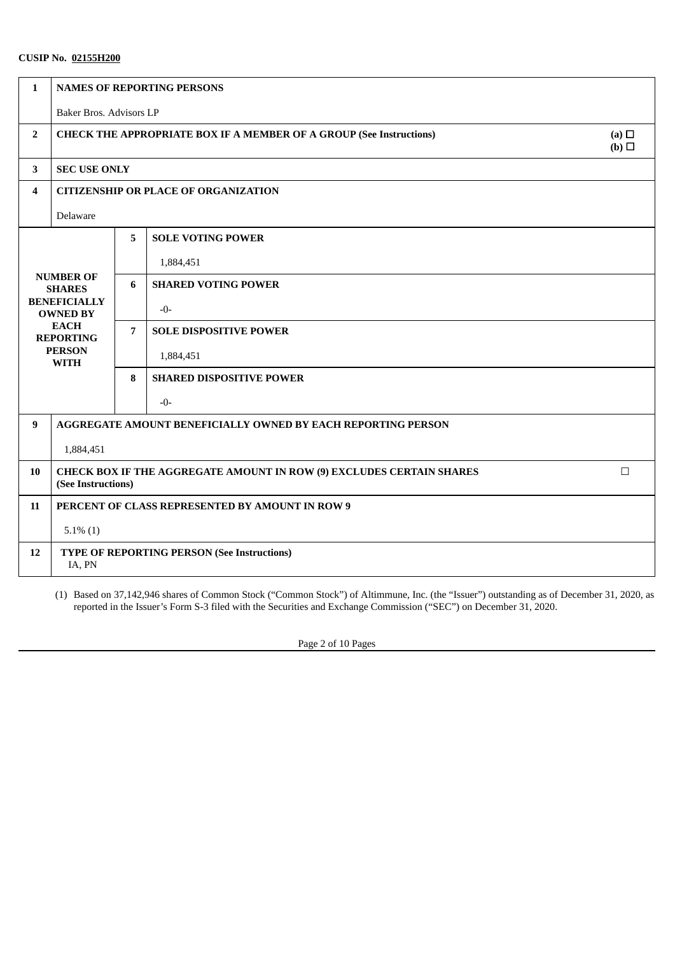| $\mathbf{1}$   | <b>NAMES OF REPORTING PERSONS</b>                                                                                                              |   |                                                 |  |  |
|----------------|------------------------------------------------------------------------------------------------------------------------------------------------|---|-------------------------------------------------|--|--|
|                | Baker Bros. Advisors LP                                                                                                                        |   |                                                 |  |  |
| $\overline{2}$ | (a) $\Box$<br><b>CHECK THE APPROPRIATE BOX IF A MEMBER OF A GROUP (See Instructions)</b><br>(b)                                                |   |                                                 |  |  |
| $\mathbf{3}$   | <b>SEC USE ONLY</b>                                                                                                                            |   |                                                 |  |  |
| 4              | <b>CITIZENSHIP OR PLACE OF ORGANIZATION</b>                                                                                                    |   |                                                 |  |  |
|                | Delaware                                                                                                                                       |   |                                                 |  |  |
|                |                                                                                                                                                | 5 | <b>SOLE VOTING POWER</b>                        |  |  |
|                | <b>NUMBER OF</b><br><b>SHARES</b><br><b>BENEFICIALLY</b><br><b>OWNED BY</b><br><b>EACH</b><br><b>REPORTING</b><br><b>PERSON</b><br><b>WITH</b> |   | 1,884,451                                       |  |  |
|                |                                                                                                                                                |   | <b>SHARED VOTING POWER</b>                      |  |  |
|                |                                                                                                                                                |   | $-0-$                                           |  |  |
|                |                                                                                                                                                |   | <b>SOLE DISPOSITIVE POWER</b>                   |  |  |
|                |                                                                                                                                                |   | 1,884,451                                       |  |  |
|                |                                                                                                                                                |   | <b>SHARED DISPOSITIVE POWER</b>                 |  |  |
|                |                                                                                                                                                |   | $-0-$                                           |  |  |
| 9              | AGGREGATE AMOUNT BENEFICIALLY OWNED BY EACH REPORTING PERSON                                                                                   |   |                                                 |  |  |
|                | 1,884,451                                                                                                                                      |   |                                                 |  |  |
| 10             | CHECK BOX IF THE AGGREGATE AMOUNT IN ROW (9) EXCLUDES CERTAIN SHARES<br>$\Box$<br>(See Instructions)                                           |   |                                                 |  |  |
| 11             |                                                                                                                                                |   | PERCENT OF CLASS REPRESENTED BY AMOUNT IN ROW 9 |  |  |
|                | $5.1\%$ (1)                                                                                                                                    |   |                                                 |  |  |
| 12             | <b>TYPE OF REPORTING PERSON (See Instructions)</b><br>IA, PN                                                                                   |   |                                                 |  |  |

(1) Based on 37,142,946 shares of Common Stock ("Common Stock") of Altimmune, Inc. (the "Issuer") outstanding as of December 31, 2020, as reported in the Issuer's Form S-3 filed with the Securities and Exchange Commission ("SEC") on December 31, 2020.

Page 2 of 10 Pages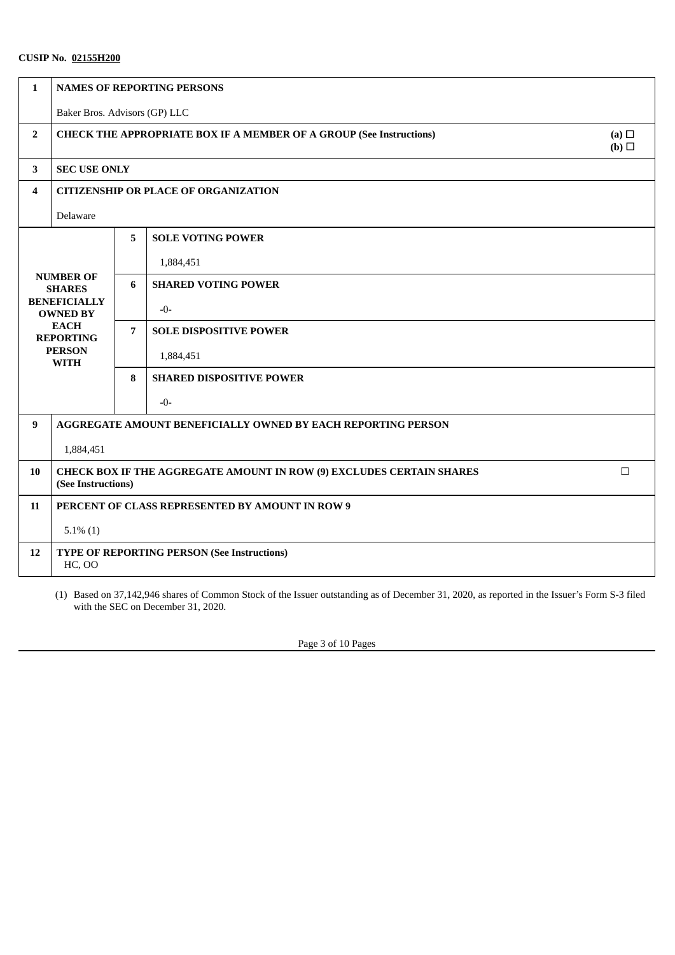| 1              | <b>NAMES OF REPORTING PERSONS</b>                                                                                                              |   |                                                 |  |  |
|----------------|------------------------------------------------------------------------------------------------------------------------------------------------|---|-------------------------------------------------|--|--|
|                | Baker Bros. Advisors (GP) LLC                                                                                                                  |   |                                                 |  |  |
| $\overline{2}$ | (a) $\Box$<br><b>CHECK THE APPROPRIATE BOX IF A MEMBER OF A GROUP (See Instructions)</b><br>(b)                                                |   |                                                 |  |  |
| 3              | <b>SEC USE ONLY</b>                                                                                                                            |   |                                                 |  |  |
| 4              | <b>CITIZENSHIP OR PLACE OF ORGANIZATION</b>                                                                                                    |   |                                                 |  |  |
|                | Delaware                                                                                                                                       |   |                                                 |  |  |
|                |                                                                                                                                                | 5 | <b>SOLE VOTING POWER</b>                        |  |  |
|                | <b>NUMBER OF</b><br><b>SHARES</b><br><b>BENEFICIALLY</b><br><b>OWNED BY</b><br><b>EACH</b><br><b>REPORTING</b><br><b>PERSON</b><br><b>WITH</b> |   | 1,884,451                                       |  |  |
|                |                                                                                                                                                |   | <b>SHARED VOTING POWER</b>                      |  |  |
|                |                                                                                                                                                |   | $-0-$                                           |  |  |
|                |                                                                                                                                                |   | <b>SOLE DISPOSITIVE POWER</b>                   |  |  |
|                |                                                                                                                                                |   | 1,884,451                                       |  |  |
|                |                                                                                                                                                |   | <b>SHARED DISPOSITIVE POWER</b>                 |  |  |
|                |                                                                                                                                                |   | $-0-$                                           |  |  |
| 9              | AGGREGATE AMOUNT BENEFICIALLY OWNED BY EACH REPORTING PERSON                                                                                   |   |                                                 |  |  |
|                | 1,884,451                                                                                                                                      |   |                                                 |  |  |
| 10             | $\Box$<br>CHECK BOX IF THE AGGREGATE AMOUNT IN ROW (9) EXCLUDES CERTAIN SHARES<br>(See Instructions)                                           |   |                                                 |  |  |
| 11             |                                                                                                                                                |   | PERCENT OF CLASS REPRESENTED BY AMOUNT IN ROW 9 |  |  |
|                | $5.1\%$ (1)                                                                                                                                    |   |                                                 |  |  |
| 12             | <b>TYPE OF REPORTING PERSON (See Instructions)</b><br><b>HC, OO</b>                                                                            |   |                                                 |  |  |

(1) Based on 37,142,946 shares of Common Stock of the Issuer outstanding as of December 31, 2020, as reported in the Issuer's Form S-3 filed with the SEC on December 31, 2020.

Page 3 of 10 Pages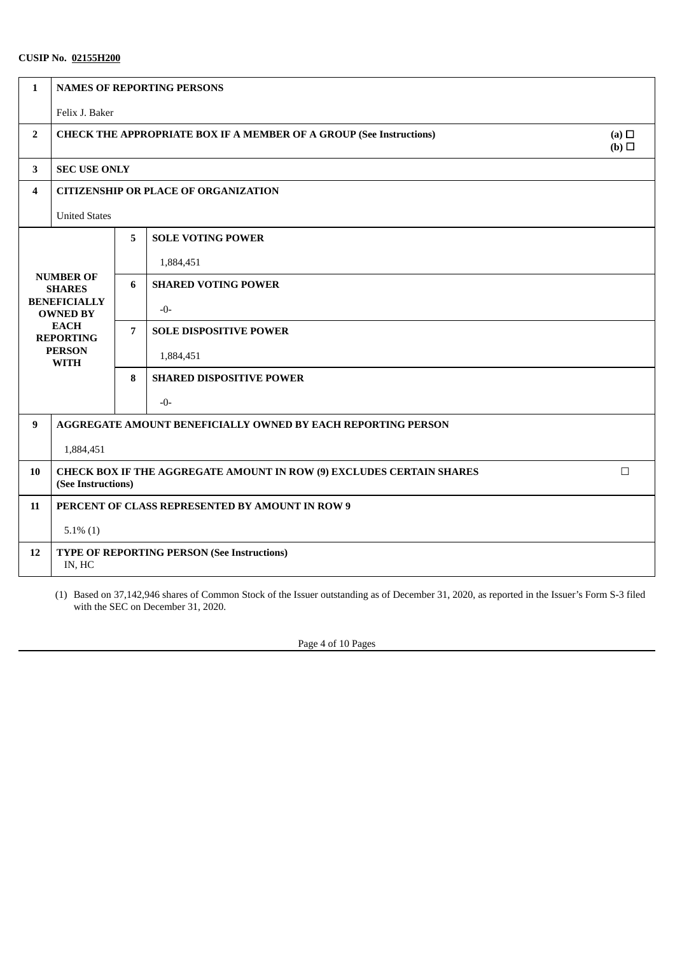| 1                       | <b>NAMES OF REPORTING PERSONS</b>                                                                                                              |   |                                 |  |  |
|-------------------------|------------------------------------------------------------------------------------------------------------------------------------------------|---|---------------------------------|--|--|
|                         | Felix J. Baker                                                                                                                                 |   |                                 |  |  |
| $\overline{2}$          | (a) $\Box$<br><b>CHECK THE APPROPRIATE BOX IF A MEMBER OF A GROUP (See Instructions)</b><br>(b)                                                |   |                                 |  |  |
| $\mathbf{3}$            | <b>SEC USE ONLY</b>                                                                                                                            |   |                                 |  |  |
| $\overline{\mathbf{4}}$ | <b>CITIZENSHIP OR PLACE OF ORGANIZATION</b>                                                                                                    |   |                                 |  |  |
|                         | <b>United States</b>                                                                                                                           |   |                                 |  |  |
|                         |                                                                                                                                                | 5 | <b>SOLE VOTING POWER</b>        |  |  |
|                         | <b>NUMBER OF</b><br><b>SHARES</b><br><b>BENEFICIALLY</b><br><b>OWNED BY</b><br><b>EACH</b><br><b>REPORTING</b><br><b>PERSON</b><br><b>WITH</b> |   | 1,884,451                       |  |  |
|                         |                                                                                                                                                |   | <b>SHARED VOTING POWER</b>      |  |  |
|                         |                                                                                                                                                |   | $-0-$                           |  |  |
|                         |                                                                                                                                                |   | <b>SOLE DISPOSITIVE POWER</b>   |  |  |
|                         |                                                                                                                                                |   | 1,884,451                       |  |  |
|                         |                                                                                                                                                |   | <b>SHARED DISPOSITIVE POWER</b> |  |  |
|                         |                                                                                                                                                |   | $-0-$                           |  |  |
| 9                       | AGGREGATE AMOUNT BENEFICIALLY OWNED BY EACH REPORTING PERSON                                                                                   |   |                                 |  |  |
|                         | 1,884,451                                                                                                                                      |   |                                 |  |  |
| 10                      | $\Box$<br><b>CHECK BOX IF THE AGGREGATE AMOUNT IN ROW (9) EXCLUDES CERTAIN SHARES</b><br>(See Instructions)                                    |   |                                 |  |  |
| 11                      | PERCENT OF CLASS REPRESENTED BY AMOUNT IN ROW 9                                                                                                |   |                                 |  |  |
|                         | $5.1\%$ (1)                                                                                                                                    |   |                                 |  |  |
| 12                      | <b>TYPE OF REPORTING PERSON (See Instructions)</b><br>IN, HC                                                                                   |   |                                 |  |  |

(1) Based on 37,142,946 shares of Common Stock of the Issuer outstanding as of December 31, 2020, as reported in the Issuer's Form S-3 filed with the SEC on December 31, 2020.

Page 4 of 10 Pages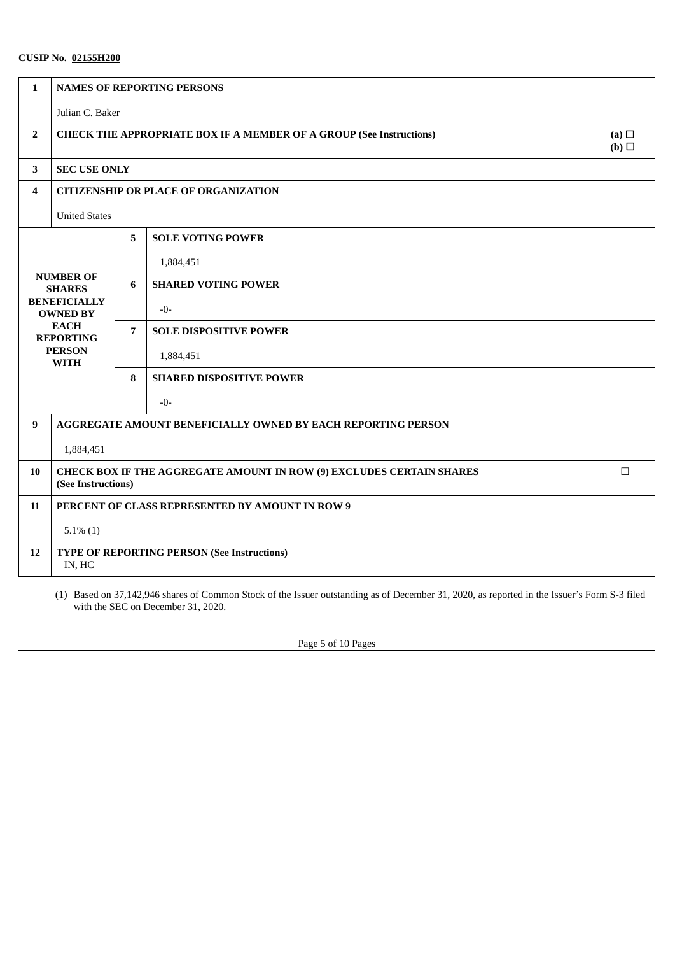| $\mathbf{1}$   | <b>NAMES OF REPORTING PERSONS</b>                                                                                                              |   |                                 |  |  |
|----------------|------------------------------------------------------------------------------------------------------------------------------------------------|---|---------------------------------|--|--|
|                | Julian C. Baker                                                                                                                                |   |                                 |  |  |
| $\overline{2}$ | (a) $\Box$<br><b>CHECK THE APPROPRIATE BOX IF A MEMBER OF A GROUP (See Instructions)</b><br>(b)                                                |   |                                 |  |  |
| $\mathbf{3}$   | <b>SEC USE ONLY</b>                                                                                                                            |   |                                 |  |  |
| 4              | <b>CITIZENSHIP OR PLACE OF ORGANIZATION</b>                                                                                                    |   |                                 |  |  |
|                | <b>United States</b>                                                                                                                           |   |                                 |  |  |
|                |                                                                                                                                                | 5 | <b>SOLE VOTING POWER</b>        |  |  |
|                |                                                                                                                                                |   | 1,884,451                       |  |  |
|                | <b>NUMBER OF</b><br><b>SHARES</b><br><b>BENEFICIALLY</b><br><b>OWNED BY</b><br><b>EACH</b><br><b>REPORTING</b><br><b>PERSON</b><br><b>WITH</b> |   | <b>SHARED VOTING POWER</b>      |  |  |
|                |                                                                                                                                                |   | $-0-$                           |  |  |
|                |                                                                                                                                                |   | <b>SOLE DISPOSITIVE POWER</b>   |  |  |
|                |                                                                                                                                                |   | 1,884,451                       |  |  |
|                |                                                                                                                                                |   | <b>SHARED DISPOSITIVE POWER</b> |  |  |
|                |                                                                                                                                                |   | $-0-$                           |  |  |
| 9              | <b>AGGREGATE AMOUNT BENEFICIALLY OWNED BY EACH REPORTING PERSON</b>                                                                            |   |                                 |  |  |
|                | 1,884,451                                                                                                                                      |   |                                 |  |  |
| 10             | $\Box$<br>CHECK BOX IF THE AGGREGATE AMOUNT IN ROW (9) EXCLUDES CERTAIN SHARES<br>(See Instructions)                                           |   |                                 |  |  |
| 11             | PERCENT OF CLASS REPRESENTED BY AMOUNT IN ROW 9                                                                                                |   |                                 |  |  |
|                | $5.1\%$ (1)                                                                                                                                    |   |                                 |  |  |
| 12             | <b>TYPE OF REPORTING PERSON (See Instructions)</b><br>IN, HC                                                                                   |   |                                 |  |  |

(1) Based on 37,142,946 shares of Common Stock of the Issuer outstanding as of December 31, 2020, as reported in the Issuer's Form S-3 filed with the SEC on December 31, 2020.

Page 5 of 10 Pages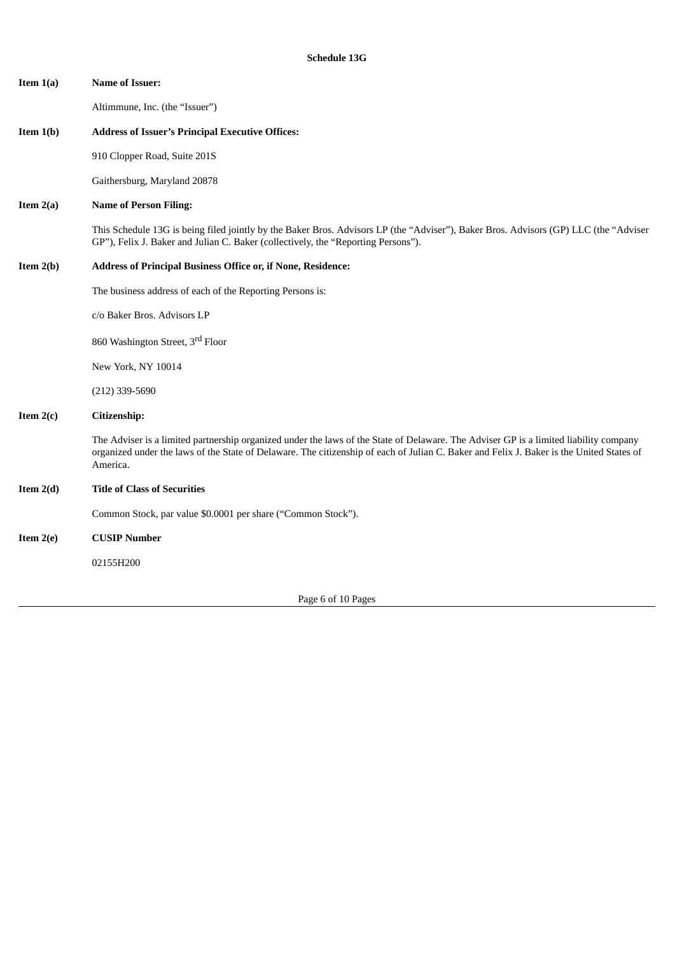| Item $1(a)$ | <b>Name of Issuer:</b>                                                                                                                                                                                                                                                                        |
|-------------|-----------------------------------------------------------------------------------------------------------------------------------------------------------------------------------------------------------------------------------------------------------------------------------------------|
|             | Altimmune, Inc. (the "Issuer")                                                                                                                                                                                                                                                                |
| Item $1(b)$ | <b>Address of Issuer's Principal Executive Offices:</b>                                                                                                                                                                                                                                       |
|             | 910 Clopper Road, Suite 201S                                                                                                                                                                                                                                                                  |
|             | Gaithersburg, Maryland 20878                                                                                                                                                                                                                                                                  |
| Item $2(a)$ | <b>Name of Person Filing:</b>                                                                                                                                                                                                                                                                 |
|             | This Schedule 13G is being filed jointly by the Baker Bros. Advisors LP (the "Adviser"), Baker Bros. Advisors (GP) LLC (the "Adviser<br>GP"), Felix J. Baker and Julian C. Baker (collectively, the "Reporting Persons").                                                                     |
| Item $2(b)$ | Address of Principal Business Office or, if None, Residence:                                                                                                                                                                                                                                  |
|             | The business address of each of the Reporting Persons is:                                                                                                                                                                                                                                     |
|             | c/o Baker Bros. Advisors LP                                                                                                                                                                                                                                                                   |
|             | 860 Washington Street, 3rd Floor                                                                                                                                                                                                                                                              |
|             | New York, NY 10014                                                                                                                                                                                                                                                                            |
|             | $(212)$ 339-5690                                                                                                                                                                                                                                                                              |
| Item $2(c)$ | Citizenship:                                                                                                                                                                                                                                                                                  |
|             | The Adviser is a limited partnership organized under the laws of the State of Delaware. The Adviser GP is a limited liability company<br>organized under the laws of the State of Delaware. The citizenship of each of Julian C. Baker and Felix J. Baker is the United States of<br>America. |
| Item $2(d)$ | <b>Title of Class of Securities</b>                                                                                                                                                                                                                                                           |
|             | Common Stock, par value \$0.0001 per share ("Common Stock").                                                                                                                                                                                                                                  |
| Item $2(e)$ | <b>CUSIP Number</b>                                                                                                                                                                                                                                                                           |
|             | 02155H200                                                                                                                                                                                                                                                                                     |
|             |                                                                                                                                                                                                                                                                                               |

Page 6 of 10 Pages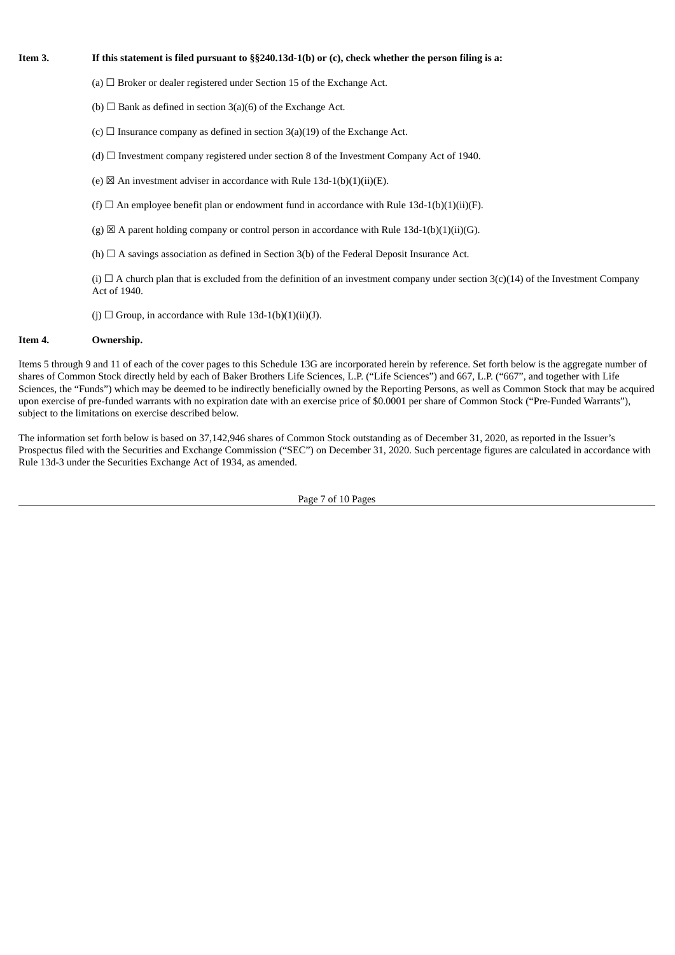## Item 3. If this statement is filed pursuant to §§240.13d-1(b) or (c), check whether the person filing is a:

- (a)  $\Box$  Broker or dealer registered under Section 15 of the Exchange Act.
- (b)  $\Box$  Bank as defined in section 3(a)(6) of the Exchange Act.
- (c)  $\Box$  Insurance company as defined in section 3(a)(19) of the Exchange Act.
- (d)  $\Box$  Investment company registered under section 8 of the Investment Company Act of 1940.
- (e)  $\boxtimes$  An investment adviser in accordance with Rule 13d-1(b)(1)(ii)(E).
- (f)  $\Box$  An employee benefit plan or endowment fund in accordance with Rule 13d-1(b)(1)(ii)(F).
- (g)  $\boxtimes$  A parent holding company or control person in accordance with Rule 13d-1(b)(1)(ii)(G).
- (h)  $\Box$  A savings association as defined in Section 3(b) of the Federal Deposit Insurance Act.

(i)  $\Box$  A church plan that is excluded from the definition of an investment company under section 3(c)(14) of the Investment Company Act of 1940.

(j)  $\Box$  Group, in accordance with Rule 13d-1(b)(1)(ii)(J).

### **Item 4. Ownership.**

Items 5 through 9 and 11 of each of the cover pages to this Schedule 13G are incorporated herein by reference. Set forth below is the aggregate number of shares of Common Stock directly held by each of Baker Brothers Life Sciences, L.P. ("Life Sciences") and 667, L.P. ("667", and together with Life Sciences, the "Funds") which may be deemed to be indirectly beneficially owned by the Reporting Persons, as well as Common Stock that may be acquired upon exercise of pre-funded warrants with no expiration date with an exercise price of \$0.0001 per share of Common Stock ("Pre-Funded Warrants"), subject to the limitations on exercise described below.

The information set forth below is based on 37,142,946 shares of Common Stock outstanding as of December 31, 2020, as reported in the Issuer's Prospectus filed with the Securities and Exchange Commission ("SEC") on December 31, 2020. Such percentage figures are calculated in accordance with Rule 13d-3 under the Securities Exchange Act of 1934, as amended.

Page 7 of 10 Pages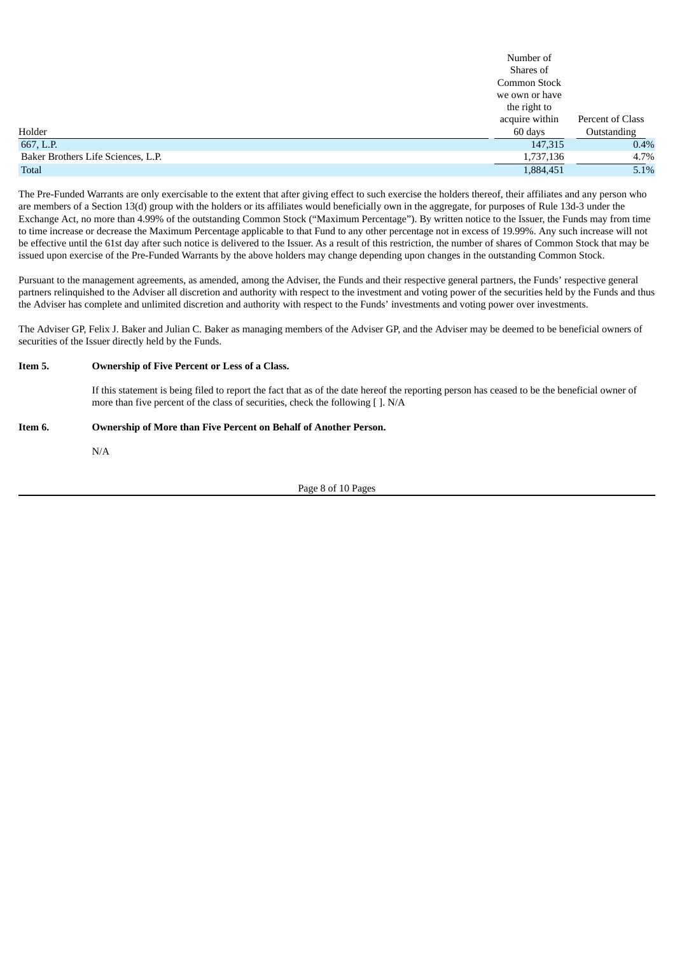|                                    | Number of      |                  |
|------------------------------------|----------------|------------------|
|                                    | Shares of      |                  |
|                                    | Common Stock   |                  |
|                                    | we own or have |                  |
|                                    | the right to   |                  |
|                                    | acquire within | Percent of Class |
| Holder                             | 60 days        | Outstanding      |
| 667, L.P.                          | 147,315        | 0.4%             |
| Baker Brothers Life Sciences, L.P. | 1,737,136      | 4.7%             |
| <b>Total</b>                       | 1,884,451      | 5.1%             |

The Pre-Funded Warrants are only exercisable to the extent that after giving effect to such exercise the holders thereof, their affiliates and any person who are members of a Section 13(d) group with the holders or its affiliates would beneficially own in the aggregate, for purposes of Rule 13d-3 under the Exchange Act, no more than 4.99% of the outstanding Common Stock ("Maximum Percentage"). By written notice to the Issuer, the Funds may from time to time increase or decrease the Maximum Percentage applicable to that Fund to any other percentage not in excess of 19.99%. Any such increase will not be effective until the 61st day after such notice is delivered to the Issuer. As a result of this restriction, the number of shares of Common Stock that may be issued upon exercise of the Pre-Funded Warrants by the above holders may change depending upon changes in the outstanding Common Stock.

Pursuant to the management agreements, as amended, among the Adviser, the Funds and their respective general partners, the Funds' respective general partners relinquished to the Adviser all discretion and authority with respect to the investment and voting power of the securities held by the Funds and thus the Adviser has complete and unlimited discretion and authority with respect to the Funds' investments and voting power over investments.

The Adviser GP, Felix J. Baker and Julian C. Baker as managing members of the Adviser GP, and the Adviser may be deemed to be beneficial owners of securities of the Issuer directly held by the Funds.

## **Item 5. Ownership of Five Percent or Less of a Class.**

If this statement is being filed to report the fact that as of the date hereof the reporting person has ceased to be the beneficial owner of more than five percent of the class of securities, check the following [ ]. N/A

## **Item 6. Ownership of More than Five Percent on Behalf of Another Person.**

N/A

Page 8 of 10 Pages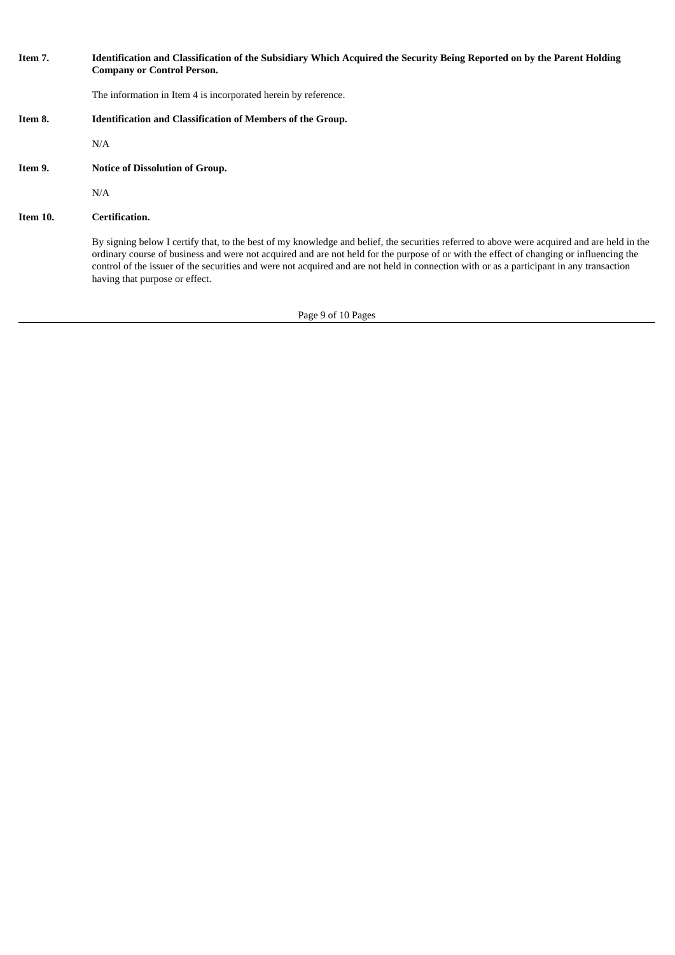| Item 7.  | Identification and Classification of the Subsidiary Which Acquired the Security Being Reported on by the Parent Holding<br><b>Company or Control Person.</b>                                                                                                                                                                                                                                                                                                         |
|----------|----------------------------------------------------------------------------------------------------------------------------------------------------------------------------------------------------------------------------------------------------------------------------------------------------------------------------------------------------------------------------------------------------------------------------------------------------------------------|
|          | The information in Item 4 is incorporated herein by reference.                                                                                                                                                                                                                                                                                                                                                                                                       |
| Item 8.  | <b>Identification and Classification of Members of the Group.</b>                                                                                                                                                                                                                                                                                                                                                                                                    |
|          | N/A                                                                                                                                                                                                                                                                                                                                                                                                                                                                  |
| Item 9.  | <b>Notice of Dissolution of Group.</b>                                                                                                                                                                                                                                                                                                                                                                                                                               |
|          | N/A                                                                                                                                                                                                                                                                                                                                                                                                                                                                  |
| Item 10. | Certification.                                                                                                                                                                                                                                                                                                                                                                                                                                                       |
|          | By signing below I certify that, to the best of my knowledge and belief, the securities referred to above were acquired and are held in the<br>ordinary course of business and were not acquired and are not held for the purpose of or with the effect of changing or influencing the<br>control of the issuer of the securities and were not acquired and are not held in connection with or as a participant in any transaction<br>having that purpose or effect. |

Page 9 of 10 Pages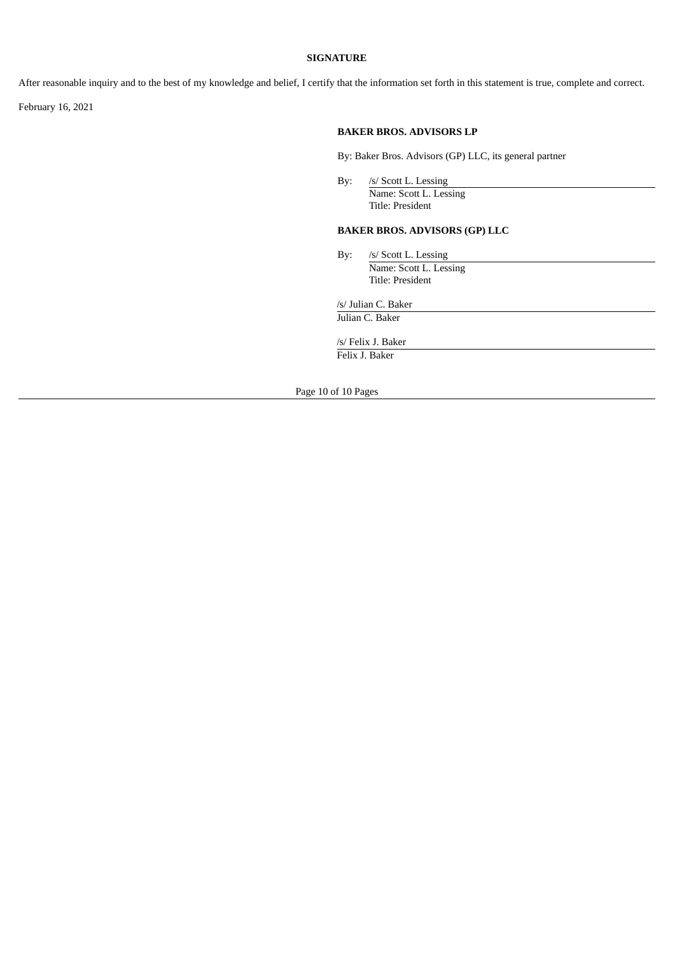### **SIGNATURE**

After reasonable inquiry and to the best of my knowledge and belief, I certify that the information set forth in this statement is true, complete and correct.

February 16, 2021

## **BAKER BROS. ADVISORS LP**

By: Baker Bros. Advisors (GP) LLC, its general partner

By: /s/ Scott L. Lessing Name: Scott L. Lessing Title: President

# **BAKER BROS. ADVISORS (GP) LLC**

By: /s/ Scott L. Lessing Name: Scott L. Lessing Title: President

/s/ Julian C. Baker

Julian C. Baker

/s/ Felix J. Baker Felix J. Baker

Page 10 of 10 Pages